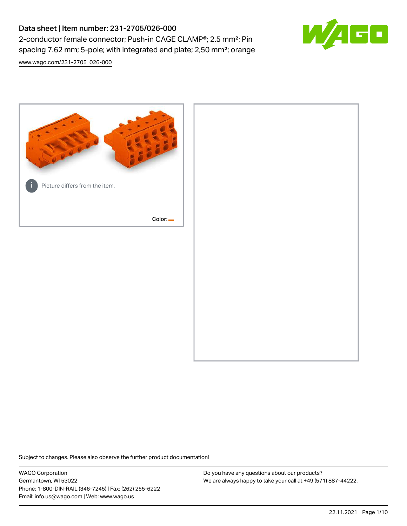# Data sheet | Item number: 231-2705/026-000 2-conductor female connector; Push-in CAGE CLAMP®; 2.5 mm²; Pin spacing 7.62 mm; 5-pole; with integrated end plate; 2,50 mm²; orange



[www.wago.com/231-2705\\_026-000](http://www.wago.com/231-2705_026-000)



Subject to changes. Please also observe the further product documentation!

WAGO Corporation Germantown, WI 53022 Phone: 1-800-DIN-RAIL (346-7245) | Fax: (262) 255-6222 Email: info.us@wago.com | Web: www.wago.us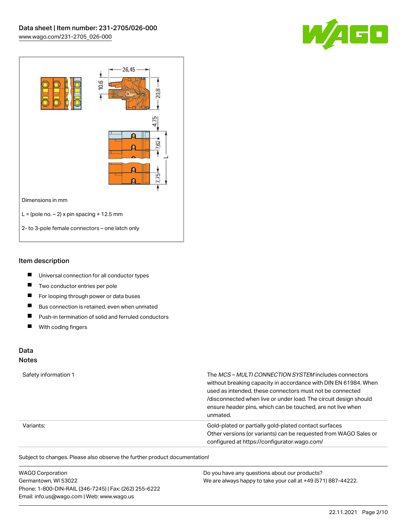



#### Item description

- $\blacksquare$ Universal connection for all conductor types
- $\blacksquare$ Two conductor entries per pole
- $\blacksquare$ For looping through power or data buses
- $\blacksquare$ Bus connection is retained, even when unmated
- $\blacksquare$ Push-in termination of solid and ferruled conductors
- $\blacksquare$ With coding fingers

## Data

#### Notes

| Safety information 1 | The MCS-MULTI CONNECTION SYSTEM includes connectors<br>without breaking capacity in accordance with DIN EN 61984. When<br>used as intended, these connectors must not be connected<br>/disconnected when live or under load. The circuit design should<br>ensure header pins, which can be touched, are not live when<br>unmated. |
|----------------------|-----------------------------------------------------------------------------------------------------------------------------------------------------------------------------------------------------------------------------------------------------------------------------------------------------------------------------------|
| Variants:            | Gold-plated or partially gold-plated contact surfaces<br>Other versions (or variants) can be requested from WAGO Sales or<br>configured at https://configurator.wago.com/                                                                                                                                                         |

Subject to changes. Please also observe the further product documentation!

| <b>WAGO Corporation</b>                                | Do you have any questions about our products?                 |
|--------------------------------------------------------|---------------------------------------------------------------|
| Germantown, WI 53022                                   | We are always happy to take your call at +49 (571) 887-44222. |
| Phone: 1-800-DIN-RAIL (346-7245)   Fax: (262) 255-6222 |                                                               |
| Email: info.us@wago.com   Web: www.wago.us             |                                                               |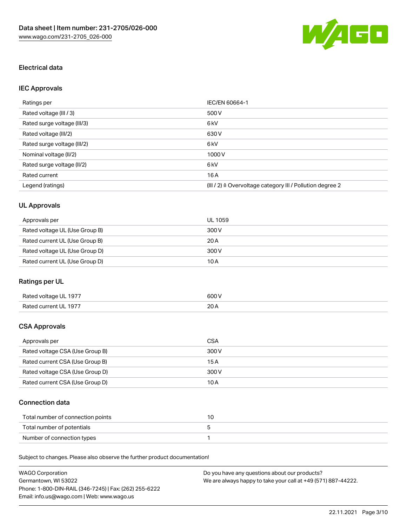

## Electrical data

## IEC Approvals

| Ratings per                 | IEC/EN 60664-1                                                        |
|-----------------------------|-----------------------------------------------------------------------|
| Rated voltage (III / 3)     | 500 V                                                                 |
| Rated surge voltage (III/3) | 6 kV                                                                  |
| Rated voltage (III/2)       | 630 V                                                                 |
| Rated surge voltage (III/2) | 6 <sub>k</sub> V                                                      |
| Nominal voltage (II/2)      | 1000V                                                                 |
| Rated surge voltage (II/2)  | 6 kV                                                                  |
| Rated current               | 16A                                                                   |
| Legend (ratings)            | $(III / 2)$ $\triangle$ Overvoltage category III / Pollution degree 2 |

## UL Approvals

| Approvals per                  | UL 1059 |
|--------------------------------|---------|
| Rated voltage UL (Use Group B) | 300 V   |
| Rated current UL (Use Group B) | 20A     |
| Rated voltage UL (Use Group D) | 300 V   |
| Rated current UL (Use Group D) | 10 A    |

## Ratings per UL

| Rated voltage UL 1977 | 600 V       |
|-----------------------|-------------|
| Rated current UL 1977 | 20h<br>20 A |

### CSA Approvals

| Approvals per                   | CSA   |
|---------------------------------|-------|
| Rated voltage CSA (Use Group B) | 300 V |
| Rated current CSA (Use Group B) | 15 A  |
| Rated voltage CSA (Use Group D) | 300 V |
| Rated current CSA (Use Group D) | 10 A  |

### Connection data

| Total number of connection points |  |
|-----------------------------------|--|
| Total number of potentials        |  |
| Number of connection types        |  |

Subject to changes. Please also observe the further product documentation!

| <b>WAGO Corporation</b>                                | Do you have any questions about our products?                 |
|--------------------------------------------------------|---------------------------------------------------------------|
| Germantown, WI 53022                                   | We are always happy to take your call at +49 (571) 887-44222. |
| Phone: 1-800-DIN-RAIL (346-7245)   Fax: (262) 255-6222 |                                                               |
| Email: info.us@wago.com   Web: www.wago.us             |                                                               |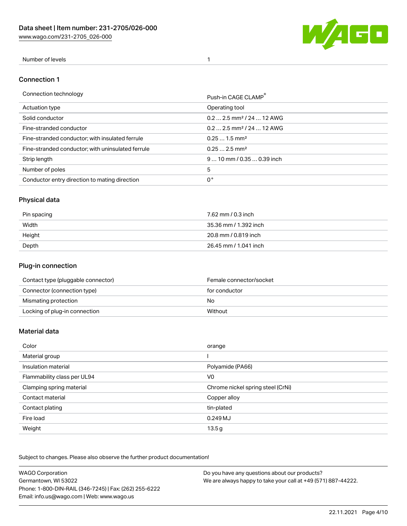[www.wago.com/231-2705\\_026-000](http://www.wago.com/231-2705_026-000)



### Number of levels 1

#### Connection 1

| Connection technology                             | Push-in CAGE CLAMP®                   |
|---------------------------------------------------|---------------------------------------|
| Actuation type                                    | Operating tool                        |
| Solid conductor                                   | $0.22.5$ mm <sup>2</sup> / 24  12 AWG |
| Fine-stranded conductor                           | $0.22.5$ mm <sup>2</sup> / 24  12 AWG |
| Fine-stranded conductor; with insulated ferrule   | $0.251.5$ mm <sup>2</sup>             |
| Fine-stranded conductor; with uninsulated ferrule | $0.252.5$ mm <sup>2</sup>             |
| Strip length                                      | $910$ mm $/0.350.39$ inch             |
| Number of poles                                   | 5                                     |
| Conductor entry direction to mating direction     | 0°                                    |

## Physical data

| Pin spacing | 7.62 mm / 0.3 inch    |
|-------------|-----------------------|
| Width       | 35.36 mm / 1.392 inch |
| Height      | 20.8 mm / 0.819 inch  |
| Depth       | 26.45 mm / 1.041 inch |

### Plug-in connection

| Contact type (pluggable connector) | Female connector/socket |
|------------------------------------|-------------------------|
| Connector (connection type)        | for conductor           |
| Mismating protection               | No                      |
| Locking of plug-in connection      | Without                 |

#### Material data

| Color                       | orange                            |
|-----------------------------|-----------------------------------|
| Material group              |                                   |
| Insulation material         | Polyamide (PA66)                  |
| Flammability class per UL94 | V <sub>0</sub>                    |
| Clamping spring material    | Chrome nickel spring steel (CrNi) |
| Contact material            | Copper alloy                      |
| Contact plating             | tin-plated                        |
| Fire load                   | 0.249 MJ                          |
| Weight                      | 13.5g                             |

Subject to changes. Please also observe the further product documentation!

| <b>WAGO Corporation</b>                                | Do you have any questions about our products?                 |
|--------------------------------------------------------|---------------------------------------------------------------|
| Germantown, WI 53022                                   | We are always happy to take your call at +49 (571) 887-44222. |
| Phone: 1-800-DIN-RAIL (346-7245)   Fax: (262) 255-6222 |                                                               |
| Email: info.us@wago.com   Web: www.wago.us             |                                                               |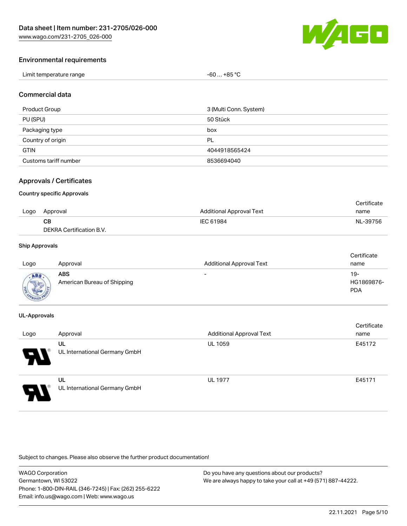

#### Environmental requirements

| Limit temperature range | . +85 °C<br>-60<br>___ |
|-------------------------|------------------------|
|-------------------------|------------------------|

#### Commercial data

| <b>Product Group</b>  | 3 (Multi Conn. System) |
|-----------------------|------------------------|
| PU (SPU)              | 50 Stück               |
| Packaging type        | box                    |
| Country of origin     | PL                     |
| <b>GTIN</b>           | 4044918565424          |
| Customs tariff number | 8536694040             |

### Approvals / Certificates

#### Country specific Approvals

|      |                          |                                 | Certificate |
|------|--------------------------|---------------------------------|-------------|
| Logo | Approval                 | <b>Additional Approval Text</b> | name        |
|      | CВ                       | IEC 61984                       | NL-39756    |
|      | DEKRA Certification B.V. |                                 |             |

#### Ship Approvals

| Logo | Approval                                  | <b>Additional Approval Text</b> | Certificate<br>name             |
|------|-------------------------------------------|---------------------------------|---------------------------------|
| ABS  | <b>ABS</b><br>American Bureau of Shipping | $\overline{\phantom{0}}$        | 19-<br>HG1869876-<br><b>PDA</b> |

#### UL-Approvals

| Logo | Approval                            | <b>Additional Approval Text</b> | Certificate<br>name |
|------|-------------------------------------|---------------------------------|---------------------|
| 8    | UL<br>UL International Germany GmbH | <b>UL 1059</b>                  | E45172              |
| J    | UL<br>UL International Germany GmbH | <b>UL 1977</b>                  | E45171              |

Subject to changes. Please also observe the further product documentation!

WAGO Corporation Germantown, WI 53022 Phone: 1-800-DIN-RAIL (346-7245) | Fax: (262) 255-6222 Email: info.us@wago.com | Web: www.wago.us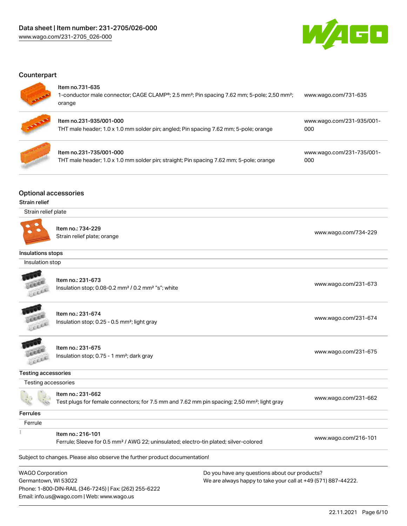

### **Counterpart**



#### Item no.731-635

Email: info.us@wago.com | Web: www.wago.us

| <b>AND</b> | טטט וטוויווטוו<br>1-conductor male connector; CAGE CLAMP®; 2.5 mm <sup>2</sup> ; Pin spacing 7.62 mm; 5-pole; 2,50 mm <sup>2</sup> ;<br>orange | www.wago.com/731-635             |
|------------|------------------------------------------------------------------------------------------------------------------------------------------------|----------------------------------|
| ÷          | Item no.231-935/001-000<br>THT male header; 1.0 x 1.0 mm solder pin; angled; Pin spacing 7.62 mm; 5-pole; orange                               | www.wago.com/231-935/001-<br>000 |
|            | Item no.231-735/001-000<br>THT male header; 1.0 x 1.0 mm solder pin; straight; Pin spacing 7.62 mm; 5-pole; orange                             | www.wago.com/231-735/001-<br>000 |

### Optional accessories

#### Strain relief

| Strain relief plate                             |                                                                                                                              |                                                                                                                |
|-------------------------------------------------|------------------------------------------------------------------------------------------------------------------------------|----------------------------------------------------------------------------------------------------------------|
|                                                 | Item no.: 734-229<br>Strain relief plate; orange                                                                             | www.wago.com/734-229                                                                                           |
| Insulations stops                               |                                                                                                                              |                                                                                                                |
| Insulation stop                                 |                                                                                                                              |                                                                                                                |
|                                                 | Item no.: 231-673<br>Insulation stop; 0.08-0.2 mm <sup>2</sup> / 0.2 mm <sup>2</sup> "s"; white                              | www.wago.com/231-673                                                                                           |
|                                                 | Item no.: 231-674<br>Insulation stop; 0.25 - 0.5 mm <sup>2</sup> ; light gray                                                | www.wago.com/231-674                                                                                           |
|                                                 | Item no.: 231-675<br>Insulation stop; 0.75 - 1 mm <sup>2</sup> ; dark gray                                                   | www.wago.com/231-675                                                                                           |
| <b>Testing accessories</b>                      |                                                                                                                              |                                                                                                                |
| Testing accessories                             |                                                                                                                              |                                                                                                                |
|                                                 | Item no.: 231-662<br>Test plugs for female connectors; for 7.5 mm and 7.62 mm pin spacing; 2,50 mm <sup>2</sup> ; light gray | www.wago.com/231-662                                                                                           |
| <b>Ferrules</b>                                 |                                                                                                                              |                                                                                                                |
| Ferrule                                         |                                                                                                                              |                                                                                                                |
|                                                 | Item no.: 216-101<br>Ferrule; Sleeve for 0.5 mm <sup>2</sup> / AWG 22; uninsulated; electro-tin plated; silver-colored       | www.wago.com/216-101                                                                                           |
|                                                 | Subject to changes. Please also observe the further product documentation!                                                   |                                                                                                                |
| <b>WAGO Corporation</b><br>Germantown, WI 53022 | Phone: 1-800-DIN-RAIL (346-7245)   Fax: (262) 255-6222                                                                       | Do you have any questions about our products?<br>We are always happy to take your call at +49 (571) 887-44222. |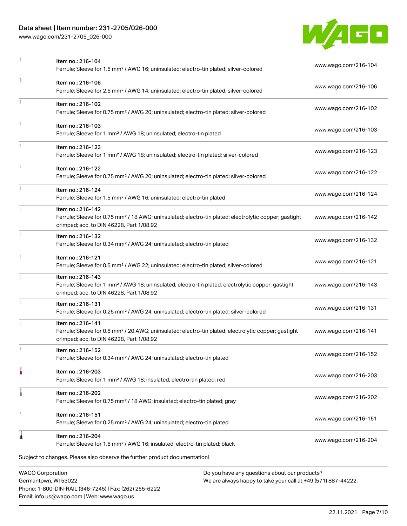### Data sheet | Item number: 231-2705/026-000

Phone: 1-800-DIN-RAIL (346-7245) | Fax: (262) 255-6222

Email: info.us@wago.com | Web: www.wago.us

[www.wago.com/231-2705\\_026-000](http://www.wago.com/231-2705_026-000)



|                         | Item no.: 216-104<br>Ferrule; Sleeve for 1.5 mm <sup>2</sup> / AWG 16; uninsulated; electro-tin plated; silver-colored                                                             |                                                                                                                | www.wago.com/216-104 |
|-------------------------|------------------------------------------------------------------------------------------------------------------------------------------------------------------------------------|----------------------------------------------------------------------------------------------------------------|----------------------|
|                         | Item no.: 216-106<br>Ferrule; Sleeve for 2.5 mm <sup>2</sup> / AWG 14; uninsulated; electro-tin plated; silver-colored                                                             |                                                                                                                | www.wago.com/216-106 |
| ã.                      | Item no.: 216-102<br>Ferrule; Sleeve for 0.75 mm <sup>2</sup> / AWG 20; uninsulated; electro-tin plated; silver-colored                                                            |                                                                                                                | www.wago.com/216-102 |
|                         | Item no.: 216-103<br>Ferrule; Sleeve for 1 mm <sup>2</sup> / AWG 18; uninsulated; electro-tin plated                                                                               |                                                                                                                | www.wago.com/216-103 |
|                         | Item no.: 216-123<br>Ferrule; Sleeve for 1 mm <sup>2</sup> / AWG 18; uninsulated; electro-tin plated; silver-colored                                                               |                                                                                                                | www.wago.com/216-123 |
|                         | Item no.: 216-122<br>Ferrule; Sleeve for 0.75 mm <sup>2</sup> / AWG 20; uninsulated; electro-tin plated; silver-colored                                                            |                                                                                                                | www.wago.com/216-122 |
|                         | Item no.: 216-124<br>Ferrule; Sleeve for 1.5 mm <sup>2</sup> / AWG 16; uninsulated; electro-tin plated                                                                             |                                                                                                                | www.wago.com/216-124 |
|                         | Item no.: 216-142<br>Ferrule; Sleeve for 0.75 mm <sup>2</sup> / 18 AWG; uninsulated; electro-tin plated; electrolytic copper; gastight<br>crimped; acc. to DIN 46228, Part 1/08.92 |                                                                                                                | www.wago.com/216-142 |
|                         | Item no.: 216-132<br>Ferrule; Sleeve for 0.34 mm <sup>2</sup> / AWG 24; uninsulated; electro-tin plated                                                                            |                                                                                                                | www.wago.com/216-132 |
|                         | Item no.: 216-121<br>Ferrule; Sleeve for 0.5 mm <sup>2</sup> / AWG 22; uninsulated; electro-tin plated; silver-colored                                                             |                                                                                                                | www.wago.com/216-121 |
|                         | Item no.: 216-143<br>Ferrule; Sleeve for 1 mm <sup>2</sup> / AWG 18; uninsulated; electro-tin plated; electrolytic copper; gastight<br>crimped; acc. to DIN 46228, Part 1/08.92    |                                                                                                                | www.wago.com/216-143 |
|                         | Item no.: 216-131<br>Ferrule; Sleeve for 0.25 mm <sup>2</sup> / AWG 24; uninsulated; electro-tin plated; silver-colored                                                            |                                                                                                                | www.wago.com/216-131 |
|                         | Item no.: 216-141<br>Ferrule; Sleeve for 0.5 mm <sup>2</sup> / 20 AWG; uninsulated; electro-tin plated; electrolytic copper; gastight<br>crimped; acc. to DIN 46228, Part 1/08.92  |                                                                                                                | www.wago.com/216-141 |
|                         | Item no.: 216-152<br>Ferrule; Sleeve for 0.34 mm <sup>2</sup> / AWG 24; uninsulated; electro-tin plated                                                                            |                                                                                                                | www.wago.com/216-152 |
|                         | Item no.: 216-203<br>Ferrule; Sleeve for 1 mm <sup>2</sup> / AWG 18; insulated; electro-tin plated; red                                                                            |                                                                                                                | www.wago.com/216-203 |
|                         | Item no.: 216-202<br>Ferrule; Sleeve for 0.75 mm <sup>2</sup> / 18 AWG; insulated; electro-tin plated; gray                                                                        |                                                                                                                | www.wago.com/216-202 |
|                         | Item no.: 216-151<br>Ferrule; Sleeve for 0.25 mm <sup>2</sup> / AWG 24; uninsulated; electro-tin plated                                                                            |                                                                                                                | www.wago.com/216-151 |
| 1                       | Item no.: 216-204<br>Ferrule; Sleeve for 1.5 mm <sup>2</sup> / AWG 16; insulated; electro-tin plated; black                                                                        |                                                                                                                | www.wago.com/216-204 |
|                         | Subject to changes. Please also observe the further product documentation!                                                                                                         |                                                                                                                |                      |
| <b>WAGO Corporation</b> | Germantown, WI 53022                                                                                                                                                               | Do you have any questions about our products?<br>We are always happy to take your call at +49 (571) 887-44222. |                      |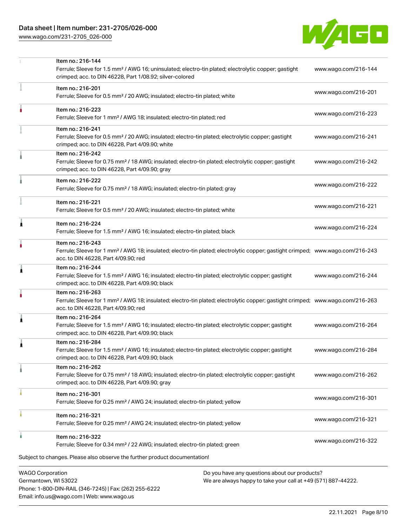[www.wago.com/231-2705\\_026-000](http://www.wago.com/231-2705_026-000)



| <b>WAGO Corporation</b> | Do you have any questions about our products?                                                                                                                                                           |                      |
|-------------------------|---------------------------------------------------------------------------------------------------------------------------------------------------------------------------------------------------------|----------------------|
|                         | Subject to changes. Please also observe the further product documentation!                                                                                                                              |                      |
|                         | Item no.: 216-322<br>Ferrule; Sleeve for 0.34 mm <sup>2</sup> / 22 AWG; insulated; electro-tin plated; green                                                                                            | www.wago.com/216-322 |
|                         | Item no.: 216-321<br>Ferrule; Sleeve for 0.25 mm <sup>2</sup> / AWG 24; insulated; electro-tin plated; yellow                                                                                           | www.wago.com/216-321 |
|                         | Item no.: 216-301<br>Ferrule; Sleeve for 0.25 mm <sup>2</sup> / AWG 24; insulated; electro-tin plated; yellow                                                                                           | www.wago.com/216-301 |
|                         | Item no.: 216-262<br>Ferrule; Sleeve for 0.75 mm <sup>2</sup> / 18 AWG; insulated; electro-tin plated; electrolytic copper; gastight<br>crimped; acc. to DIN 46228, Part 4/09.90; gray                  | www.wago.com/216-262 |
|                         | Item no.: 216-284<br>Ferrule; Sleeve for 1.5 mm <sup>2</sup> / AWG 16; insulated; electro-tin plated; electrolytic copper; gastight<br>crimped; acc. to DIN 46228, Part 4/09.90; black                  | www.wago.com/216-284 |
|                         | Item no.: 216-264<br>Ferrule; Sleeve for 1.5 mm <sup>2</sup> / AWG 16; insulated; electro-tin plated; electrolytic copper; gastight<br>crimped; acc. to DIN 46228, Part 4/09.90; black                  | www.wago.com/216-264 |
|                         | Item no.: 216-263<br>Ferrule; Sleeve for 1 mm <sup>2</sup> / AWG 18; insulated; electro-tin plated; electrolytic copper; gastight crimped; www.wago.com/216-263<br>acc. to DIN 46228, Part 4/09.90; red |                      |
| 1                       | Item no.: 216-244<br>Ferrule; Sleeve for 1.5 mm <sup>2</sup> / AWG 16; insulated; electro-tin plated; electrolytic copper; gastight<br>crimped; acc. to DIN 46228, Part 4/09.90; black                  | www.wago.com/216-244 |
|                         | Item no.: 216-243<br>Ferrule; Sleeve for 1 mm <sup>2</sup> / AWG 18; insulated; electro-tin plated; electrolytic copper; gastight crimped; www.wago.com/216-243<br>acc. to DIN 46228, Part 4/09.90; red |                      |
| 1                       | Item no.: 216-224<br>Ferrule; Sleeve for 1.5 mm <sup>2</sup> / AWG 16; insulated; electro-tin plated; black                                                                                             | www.wago.com/216-224 |
|                         | Item no.: 216-221<br>Ferrule; Sleeve for 0.5 mm <sup>2</sup> / 20 AWG; insulated; electro-tin plated; white                                                                                             | www.wago.com/216-221 |
|                         | Item no.: 216-222<br>Ferrule; Sleeve for 0.75 mm <sup>2</sup> / 18 AWG; insulated; electro-tin plated; gray                                                                                             | www.wago.com/216-222 |
|                         | Item no.: 216-242<br>Ferrule; Sleeve for 0.75 mm <sup>2</sup> / 18 AWG; insulated; electro-tin plated; electrolytic copper; gastight<br>crimped; acc. to DIN 46228, Part 4/09.90; gray                  | www.wago.com/216-242 |
|                         | Item no.: 216-241<br>Ferrule; Sleeve for 0.5 mm <sup>2</sup> / 20 AWG; insulated; electro-tin plated; electrolytic copper; gastight<br>crimped; acc. to DIN 46228, Part 4/09.90; white                  | www.wago.com/216-241 |
|                         | Item no.: 216-223<br>Ferrule; Sleeve for 1 mm <sup>2</sup> / AWG 18; insulated; electro-tin plated; red                                                                                                 | www.wago.com/216-223 |
|                         | Item no.: 216-201<br>Ferrule; Sleeve for 0.5 mm <sup>2</sup> / 20 AWG; insulated; electro-tin plated; white                                                                                             | www.wago.com/216-201 |
|                         | Item no.: 216-144<br>Ferrule; Sleeve for 1.5 mm <sup>2</sup> / AWG 16; uninsulated; electro-tin plated; electrolytic copper; gastight<br>crimped; acc. to DIN 46228, Part 1/08.92; silver-colored       | www.wago.com/216-144 |

Germantown, WI 53022 Phone: 1-800-DIN-RAIL (346-7245) | Fax: (262) 255-6222 Email: info.us@wago.com | Web: www.wago.us

We are always happy to take your call at +49 (571) 887-44222.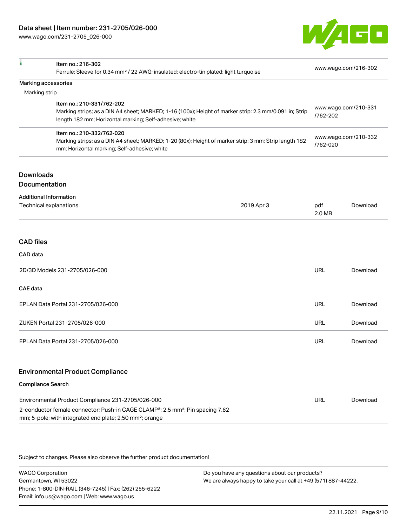[www.wago.com/231-2705\\_026-000](http://www.wago.com/231-2705_026-000)



|                                                                                                                                                                                    | Item no.: 216-302                                                                                                                                                                                                                   |                                  |               | www.wago.com/216-302 |
|------------------------------------------------------------------------------------------------------------------------------------------------------------------------------------|-------------------------------------------------------------------------------------------------------------------------------------------------------------------------------------------------------------------------------------|----------------------------------|---------------|----------------------|
|                                                                                                                                                                                    | Ferrule; Sleeve for 0.34 mm <sup>2</sup> / 22 AWG; insulated; electro-tin plated; light turquoise                                                                                                                                   |                                  |               |                      |
| Marking accessories<br>Marking strip                                                                                                                                               |                                                                                                                                                                                                                                     |                                  |               |                      |
|                                                                                                                                                                                    | Item no.: 210-331/762-202                                                                                                                                                                                                           |                                  |               |                      |
|                                                                                                                                                                                    | Marking strips; as a DIN A4 sheet; MARKED; 1-16 (100x); Height of marker strip: 2.3 mm/0.091 in; Strip<br>length 182 mm; Horizontal marking; Self-adhesive; white                                                                   |                                  | /762-202      | www.wago.com/210-331 |
| Item no.: 210-332/762-020<br>Marking strips; as a DIN A4 sheet; MARKED; 1-20 (80x); Height of marker strip: 3 mm; Strip length 182<br>mm; Horizontal marking; Self-adhesive; white |                                                                                                                                                                                                                                     | www.wago.com/210-332<br>/762-020 |               |                      |
| <b>Downloads</b><br>Documentation                                                                                                                                                  |                                                                                                                                                                                                                                     |                                  |               |                      |
| <b>Additional Information</b><br>Technical explanations                                                                                                                            |                                                                                                                                                                                                                                     | 2019 Apr 3                       | pdf<br>2.0 MB | Download             |
| <b>CAD files</b><br>CAD data                                                                                                                                                       |                                                                                                                                                                                                                                     |                                  |               |                      |
|                                                                                                                                                                                    | 2D/3D Models 231-2705/026-000                                                                                                                                                                                                       |                                  | <b>URL</b>    | Download             |
| <b>CAE</b> data                                                                                                                                                                    |                                                                                                                                                                                                                                     |                                  |               |                      |
|                                                                                                                                                                                    | EPLAN Data Portal 231-2705/026-000                                                                                                                                                                                                  |                                  | <b>URL</b>    | Download             |
|                                                                                                                                                                                    | ZUKEN Portal 231-2705/026-000                                                                                                                                                                                                       |                                  | <b>URL</b>    | Download             |
|                                                                                                                                                                                    | EPLAN Data Portal 231-2705/026-000                                                                                                                                                                                                  |                                  | URL           | Download             |
|                                                                                                                                                                                    | <b>Environmental Product Compliance</b>                                                                                                                                                                                             |                                  |               |                      |
| <b>Compliance Search</b>                                                                                                                                                           |                                                                                                                                                                                                                                     |                                  |               |                      |
|                                                                                                                                                                                    | Environmental Product Compliance 231-2705/026-000<br>2-conductor female connector; Push-in CAGE CLAMP <sup>®</sup> ; 2.5 mm <sup>2</sup> ; Pin spacing 7.62<br>mm; 5-pole; with integrated end plate; 2,50 mm <sup>2</sup> ; orange |                                  | <b>URL</b>    | Download             |

Subject to changes. Please also observe the further product documentation!

WAGO Corporation Germantown, WI 53022 Phone: 1-800-DIN-RAIL (346-7245) | Fax: (262) 255-6222 Email: info.us@wago.com | Web: www.wago.us